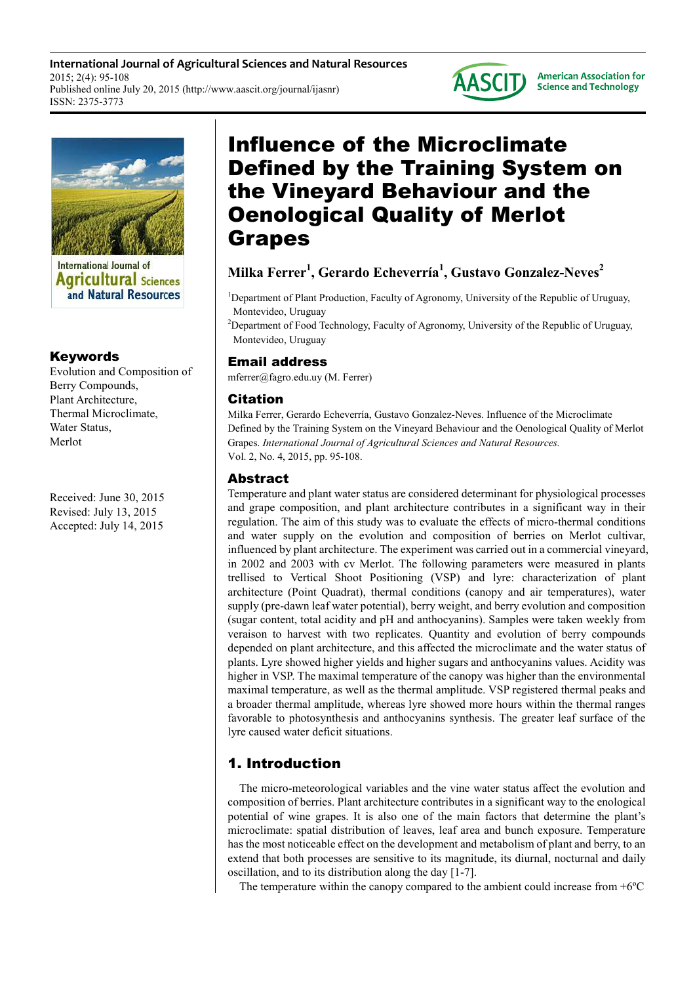**International Journal of Agricultural Sciences and Natural Resources** 2015; 2(4): 95-108 Published online July 20, 2015 (http://www.aascit.org/journal/ijasnr) ISSN: 2375-3773



**American Association for Science and Technology** 



**International Journal of Agricultural Sciences** and Natural Resources

## Keywords

Evolution and Composition of Berry Compounds, Plant Architecture, Thermal Microclimate, Water Status Merlot

Received: June 30, 2015 Revised: July 13, 2015 Accepted: July 14, 2015

# Influence of the Microclimate Defined by the Training System on the Vineyard Behaviour and the Oenological Quality of Merlot Grapes

## **Milka Ferrer<sup>1</sup> , Gerardo Echeverría<sup>1</sup> , Gustavo Gonzalez-Neves<sup>2</sup>**

<sup>1</sup>Department of Plant Production, Faculty of Agronomy, University of the Republic of Uruguay, Montevideo, Uruguay

<sup>2</sup>Department of Food Technology, Faculty of Agronomy, University of the Republic of Uruguay, Montevideo, Uruguay

## Email address

mferrer@fagro.edu.uy (M. Ferrer)

## Citation

Milka Ferrer, Gerardo Echeverría, Gustavo Gonzalez-Neves. Influence of the Microclimate Defined by the Training System on the Vineyard Behaviour and the Oenological Quality of Merlot Grapes. *International Journal of Agricultural Sciences and Natural Resources.*  Vol. 2, No. 4, 2015, pp. 95-108.

## Abstract

Temperature and plant water status are considered determinant for physiological processes and grape composition, and plant architecture contributes in a significant way in their regulation. The aim of this study was to evaluate the effects of micro-thermal conditions and water supply on the evolution and composition of berries on Merlot cultivar, influenced by plant architecture. The experiment was carried out in a commercial vineyard, in 2002 and 2003 with cv Merlot. The following parameters were measured in plants trellised to Vertical Shoot Positioning (VSP) and lyre: characterization of plant architecture (Point Quadrat), thermal conditions (canopy and air temperatures), water supply (pre-dawn leaf water potential), berry weight, and berry evolution and composition (sugar content, total acidity and pH and anthocyanins). Samples were taken weekly from veraison to harvest with two replicates. Quantity and evolution of berry compounds depended on plant architecture, and this affected the microclimate and the water status of plants. Lyre showed higher yields and higher sugars and anthocyanins values. Acidity was higher in VSP. The maximal temperature of the canopy was higher than the environmental maximal temperature, as well as the thermal amplitude. VSP registered thermal peaks and a broader thermal amplitude, whereas lyre showed more hours within the thermal ranges favorable to photosynthesis and anthocyanins synthesis. The greater leaf surface of the lyre caused water deficit situations.

## 1. Introduction

The micro-meteorological variables and the vine water status affect the evolution and composition of berries. Plant architecture contributes in a significant way to the enological potential of wine grapes. It is also one of the main factors that determine the plant's microclimate: spatial distribution of leaves, leaf area and bunch exposure. Temperature has the most noticeable effect on the development and metabolism of plant and berry, to an extend that both processes are sensitive to its magnitude, its diurnal, nocturnal and daily oscillation, and to its distribution along the day [1-7].

The temperature within the canopy compared to the ambient could increase from +6ºC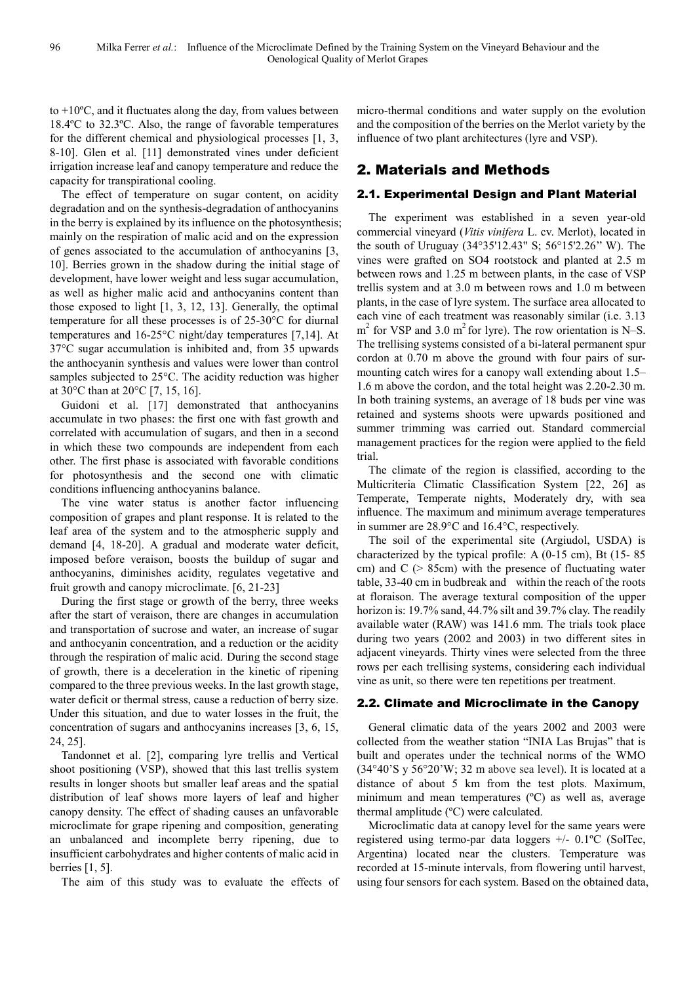to  $+10\degree C$ , and it fluctuates along the day, from values between 18.4ºC to 32.3ºC. Also, the range of favorable temperatures for the different chemical and physiological processes [1, 3, 8-10]. Glen et al. [11] demonstrated vines under deficient irrigation increase leaf and canopy temperature and reduce the capacity for transpirational cooling.

The effect of temperature on sugar content, on acidity degradation and on the synthesis-degradation of anthocyanins in the berry is explained by its influence on the photosynthesis; mainly on the respiration of malic acid and on the expression of genes associated to the accumulation of anthocyanins [3, 10]. Berries grown in the shadow during the initial stage of development, have lower weight and less sugar accumulation, as well as higher malic acid and anthocyanins content than those exposed to light [1, 3, 12, 13]. Generally, the optimal temperature for all these processes is of 25-30°C for diurnal temperatures and 16-25°C night/day temperatures [7,14]. At 37°C sugar accumulation is inhibited and, from 35 upwards the anthocyanin synthesis and values were lower than control samples subjected to 25°C. The acidity reduction was higher at 30°C than at 20°C [7, 15, 16].

Guidoni et al. [17] demonstrated that anthocyanins accumulate in two phases: the first one with fast growth and correlated with accumulation of sugars, and then in a second in which these two compounds are independent from each other. The first phase is associated with favorable conditions for photosynthesis and the second one with climatic conditions influencing anthocyanins balance.

The vine water status is another factor influencing composition of grapes and plant response. It is related to the leaf area of the system and to the atmospheric supply and demand [4, 18-20]. A gradual and moderate water deficit, imposed before veraison, boosts the buildup of sugar and anthocyanins, diminishes acidity, regulates vegetative and fruit growth and canopy microclimate. [6, 21-23]

During the first stage or growth of the berry, three weeks after the start of veraison, there are changes in accumulation and transportation of sucrose and water, an increase of sugar and anthocyanin concentration, and a reduction or the acidity through the respiration of malic acid. During the second stage of growth, there is a deceleration in the kinetic of ripening compared to the three previous weeks. In the last growth stage, water deficit or thermal stress, cause a reduction of berry size. Under this situation, and due to water losses in the fruit, the concentration of sugars and anthocyanins increases [3, 6, 15, 24, 25].

Tandonnet et al. [2], comparing lyre trellis and Vertical shoot positioning (VSP), showed that this last trellis system results in longer shoots but smaller leaf areas and the spatial distribution of leaf shows more layers of leaf and higher canopy density. The effect of shading causes an unfavorable microclimate for grape ripening and composition, generating an unbalanced and incomplete berry ripening, due to insufficient carbohydrates and higher contents of malic acid in berries [1, 5].

The aim of this study was to evaluate the effects of

micro-thermal conditions and water supply on the evolution and the composition of the berries on the Merlot variety by the influence of two plant architectures (lyre and VSP).

## 2. Materials and Methods

## 2.1. Experimental Design and Plant Material

The experiment was established in a seven year-old commercial vineyard (*Vitis vinifera* L. cv. Merlot), located in the south of Uruguay (34°35'12.43" S; 56°15'2.26'' W). The vines were grafted on SO4 rootstock and planted at 2.5 m between rows and 1.25 m between plants, in the case of VSP trellis system and at 3.0 m between rows and 1.0 m between plants, in the case of lyre system. The surface area allocated to each vine of each treatment was reasonably similar (i.e. 3.13  $m<sup>2</sup>$  for VSP and 3.0 m<sup>2</sup> for lyre). The row orientation is N–S. The trellising systems consisted of a bi-lateral permanent spur cordon at 0.70 m above the ground with four pairs of surmounting catch wires for a canopy wall extending about 1.5– 1.6 m above the cordon, and the total height was 2.20-2.30 m. In both training systems, an average of 18 buds per vine was retained and systems shoots were upwards positioned and summer trimming was carried out. Standard commercial management practices for the region were applied to the field trial.

The climate of the region is classified, according to the Multicriteria Climatic Classification System [22, 26] as Temperate, Temperate nights, Moderately dry, with sea influence. The maximum and minimum average temperatures in summer are 28.9°C and 16.4°C, respectively.

The soil of the experimental site (Argiudol, USDA) is characterized by the typical profile: A (0-15 cm), Bt (15- 85 cm) and  $C$  ( $> 85cm$ ) with the presence of fluctuating water table, 33-40 cm in budbreak and within the reach of the roots at floraison. The average textural composition of the upper horizon is: 19.7% sand, 44.7% silt and 39.7% clay. The readily available water (RAW) was 141.6 mm. The trials took place during two years (2002 and 2003) in two different sites in adjacent vineyards. Thirty vines were selected from the three rows per each trellising systems, considering each individual vine as unit, so there were ten repetitions per treatment.

## 2.2. Climate and Microclimate in the Canopy

General climatic data of the years 2002 and 2003 were collected from the weather station "INIA Las Brujas" that is built and operates under the technical norms of the WMO (34°40'S y 56°20'W; 32 m above sea level). It is located at a distance of about 5 km from the test plots. Maximum, minimum and mean temperatures (ºC) as well as, average thermal amplitude (ºC) were calculated.

Microclimatic data at canopy level for the same years were registered using termo-par data loggers +/- 0.1ºC (SolTec, Argentina) located near the clusters. Temperature was recorded at 15-minute intervals, from flowering until harvest, using four sensors for each system. Based on the obtained data,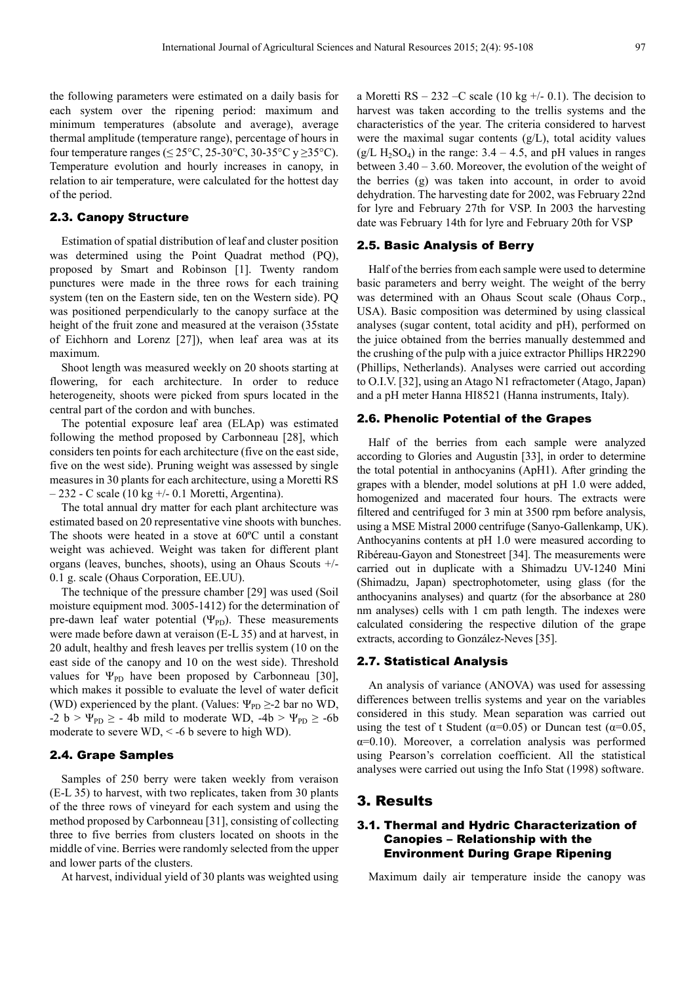the following parameters were estimated on a daily basis for each system over the ripening period: maximum and minimum temperatures (absolute and average), average thermal amplitude (temperature range), percentage of hours in four temperature ranges ( $\leq 25^{\circ}\text{C}$ , 25-30°C, 30-35°C y  $\geq 35^{\circ}\text{C}$ ). Temperature evolution and hourly increases in canopy, in relation to air temperature, were calculated for the hottest day of the period.

#### 2.3. Canopy Structure

Estimation of spatial distribution of leaf and cluster position was determined using the Point Quadrat method (PQ), proposed by Smart and Robinson [1]. Twenty random punctures were made in the three rows for each training system (ten on the Eastern side, ten on the Western side). PQ was positioned perpendicularly to the canopy surface at the height of the fruit zone and measured at the veraison (35state of Eichhorn and Lorenz [27]), when leaf area was at its maximum.

Shoot length was measured weekly on 20 shoots starting at flowering, for each architecture. In order to reduce heterogeneity, shoots were picked from spurs located in the central part of the cordon and with bunches.

The potential exposure leaf area (ELAp) was estimated following the method proposed by Carbonneau [28], which considers ten points for each architecture (five on the east side, five on the west side). Pruning weight was assessed by single measures in 30 plants for each architecture, using a Moretti RS – 232 - C scale (10 kg +/- 0.1 Moretti, Argentina).

The total annual dry matter for each plant architecture was estimated based on 20 representative vine shoots with bunches. The shoots were heated in a stove at 60ºC until a constant weight was achieved. Weight was taken for different plant organs (leaves, bunches, shoots), using an Ohaus Scouts +/- 0.1 g. scale (Ohaus Corporation, EE.UU).

The technique of the pressure chamber [29] was used (Soil moisture equipment mod. 3005-1412) for the determination of pre-dawn leaf water potential  $(\Psi_{PD})$ . These measurements were made before dawn at veraison (E-L 35) and at harvest, in 20 adult, healthy and fresh leaves per trellis system (10 on the east side of the canopy and 10 on the west side). Threshold values for  $\Psi_{\text{PD}}$  have been proposed by Carbonneau [30], which makes it possible to evaluate the level of water deficit (WD) experienced by the plant. (Values:  $\Psi_{\rm PD} \geq 2$  bar no WD,  $-2$  b >  $\Psi_{\text{PD}} \ge -4b$  mild to moderate WD,  $-4b > \Psi_{\text{PD}} \ge -6b$ moderate to severe  $WD, < -6$  b severe to high WD).

#### 2.4. Grape Samples

Samples of 250 berry were taken weekly from veraison (E-L 35) to harvest, with two replicates, taken from 30 plants of the three rows of vineyard for each system and using the method proposed by Carbonneau [31], consisting of collecting three to five berries from clusters located on shoots in the middle of vine. Berries were randomly selected from the upper and lower parts of the clusters.

At harvest, individual yield of 30 plants was weighted using

a Moretti RS – 232 –C scale (10 kg  $+/-$  0.1). The decision to harvest was taken according to the trellis systems and the characteristics of the year. The criteria considered to harvest were the maximal sugar contents  $(g/L)$ , total acidity values  $(g/L H<sub>2</sub>SO<sub>4</sub>)$  in the range: 3.4 – 4.5, and pH values in ranges between 3.40 – 3.60. Moreover, the evolution of the weight of the berries (g) was taken into account, in order to avoid dehydration. The harvesting date for 2002, was February 22nd for lyre and February 27th for VSP. In 2003 the harvesting date was February 14th for lyre and February 20th for VSP

#### 2.5. Basic Analysis of Berry

Half of the berries from each sample were used to determine basic parameters and berry weight. The weight of the berry was determined with an Ohaus Scout scale (Ohaus Corp., USA). Basic composition was determined by using classical analyses (sugar content, total acidity and pH), performed on the juice obtained from the berries manually destemmed and the crushing of the pulp with a juice extractor Phillips HR2290 (Phillips, Netherlands). Analyses were carried out according to O.I.V. [32], using an Atago N1 refractometer (Atago, Japan) and a pH meter Hanna HI8521 (Hanna instruments, Italy).

#### 2.6. Phenolic Potential of the Grapes

Half of the berries from each sample were analyzed according to Glories and Augustin [33], in order to determine the total potential in anthocyanins (ApH1). After grinding the grapes with a blender, model solutions at pH 1.0 were added, homogenized and macerated four hours. The extracts were filtered and centrifuged for 3 min at 3500 rpm before analysis, using a MSE Mistral 2000 centrifuge (Sanyo-Gallenkamp, UK). Anthocyanins contents at pH 1.0 were measured according to Ribéreau-Gayon and Stonestreet [34]. The measurements were carried out in duplicate with a Shimadzu UV-1240 Mini (Shimadzu, Japan) spectrophotometer, using glass (for the anthocyanins analyses) and quartz (for the absorbance at 280 nm analyses) cells with 1 cm path length. The indexes were calculated considering the respective dilution of the grape extracts, according to González-Neves [35].

#### 2.7. Statistical Analysis

An analysis of variance (ANOVA) was used for assessing differences between trellis systems and year on the variables considered in this study. Mean separation was carried out using the test of t Student ( $\alpha$ =0.05) or Duncan test ( $\alpha$ =0.05,  $\alpha=0.10$ ). Moreover, a correlation analysis was performed using Pearson's correlation coefficient. All the statistical analyses were carried out using the Info Stat (1998) software.

## 3. Results

## 3.1. Thermal and Hydric Characterization of Canopies – Relationship with the Environment During Grape Ripening

Maximum daily air temperature inside the canopy was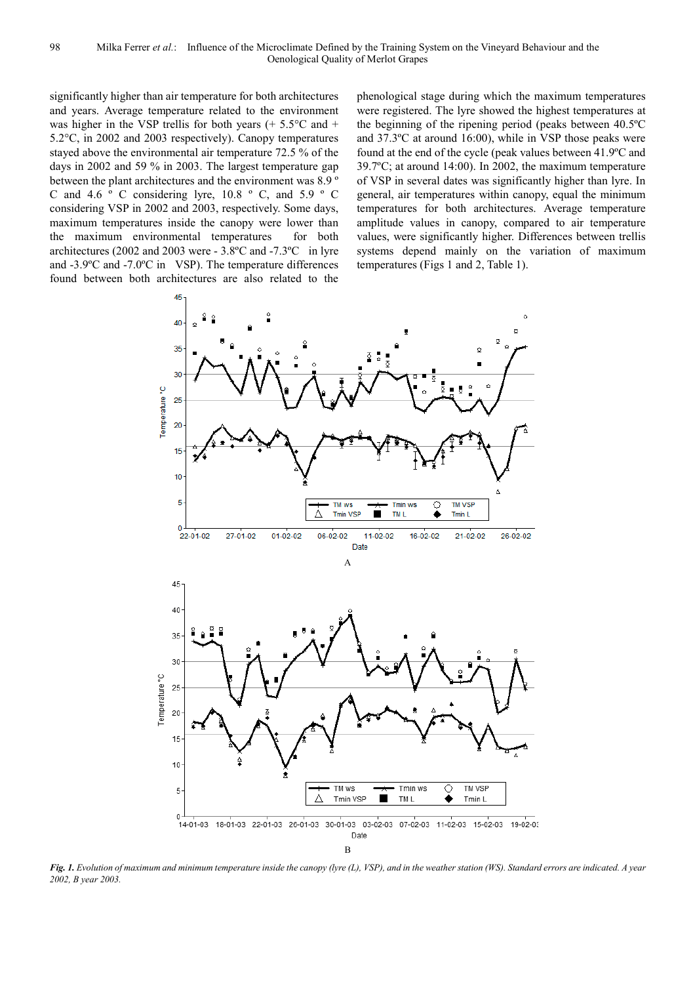significantly higher than air temperature for both architectures and years. Average temperature related to the environment was higher in the VSP trellis for both years  $(+ 5.5^{\circ}C \text{ and } +$ 5.2°C, in 2002 and 2003 respectively). Canopy temperatures stayed above the environmental air temperature 72.5 % of the days in 2002 and 59 % in 2003. The largest temperature gap between the plant architectures and the environment was 8.9 º C and 4.6 º C considering lyre, 10.8 º C, and 5.9 º C considering VSP in 2002 and 2003, respectively. Some days, maximum temperatures inside the canopy were lower than the maximum environmental temperatures for both architectures (2002 and 2003 were - 3.8ºC and -7.3ºC in lyre and -3.9ºC and -7.0ºC in VSP). The temperature differences found between both architectures are also related to the

phenological stage during which the maximum temperatures were registered. The lyre showed the highest temperatures at the beginning of the ripening period (peaks between 40.5ºC and 37.3ºC at around 16:00), while in VSP those peaks were found at the end of the cycle (peak values between 41.9ºC and 39.7ºC; at around 14:00). In 2002, the maximum temperature of VSP in several dates was significantly higher than lyre. In general, air temperatures within canopy, equal the minimum temperatures for both architectures. Average temperature amplitude values in canopy, compared to air temperature values, were significantly higher. Differences between trellis systems depend mainly on the variation of maximum temperatures (Figs 1 and 2, Table 1).



*Fig. 1. Evolution of maximum and minimum temperature inside the canopy (lyre (L), VSP), and in the weather station (WS). Standard errors are indicated. A year 2002, B year 2003.*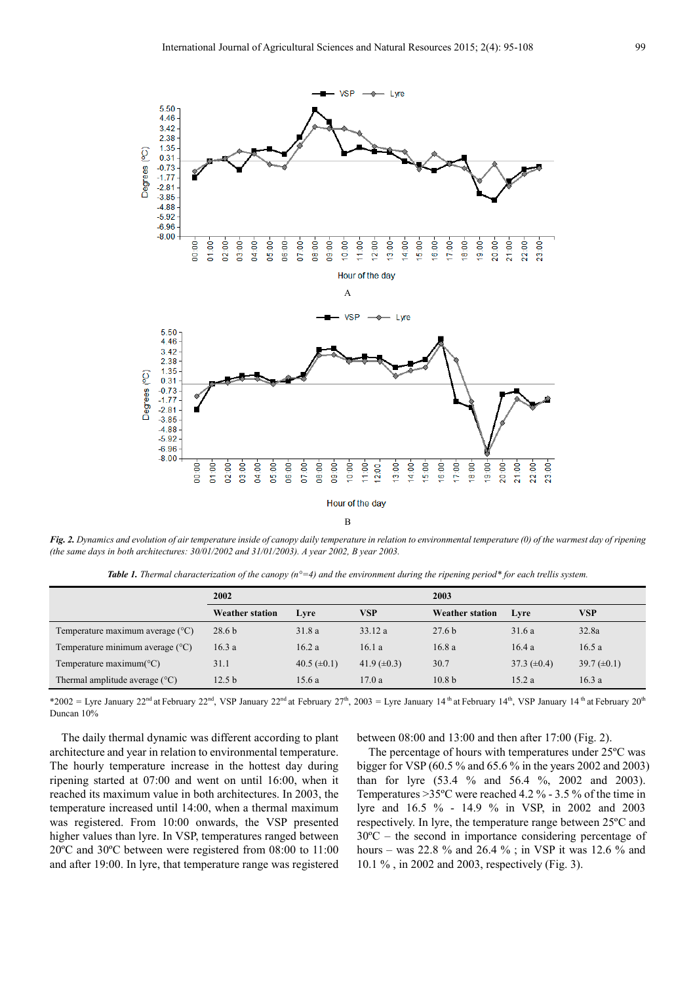

*Fig. 2. Dynamics and evolution of air temperature inside of canopy daily temperature in relation to environmental temperature (0) of the warmest day of ripening (the same days in both architectures: 30/01/2002 and 31/01/2003). A year 2002, B year 2003.* 

*Table 1. Thermal characterization of the canopy (n°=4) and the environment during the ripening period\* for each trellis system.* 

|                                           | 2002                   |                  |                  | 2003                   |                  |                  |  |
|-------------------------------------------|------------------------|------------------|------------------|------------------------|------------------|------------------|--|
|                                           | <b>Weather station</b> | Lyre             | VSP              | <b>Weather station</b> | Lyre             | VSP              |  |
| Temperature maximum average $(^{\circ}C)$ | 28.6 <sub>b</sub>      | 31.8a            | 33.12a           | 27.6 <sub>b</sub>      | 31.6a            | 32.8a            |  |
| Temperature minimum average $(^{\circ}C)$ | 16.3a                  | 16.2a            | 16.1a            | 16.8a                  | 16.4a            | 16.5a            |  |
| Temperature maximum( ${}^{\circ}C$ )      | 31.1                   | 40.5 $(\pm 0.1)$ | 41.9 $(\pm 0.3)$ | 30.7                   | 37.3 $(\pm 0.4)$ | 39.7 $(\pm 0.1)$ |  |
| Thermal amplitude average $(^{\circ}C)$   | 12.5 <sub>b</sub>      | 15.6a            | 17.0a            | 10.8 <sub>b</sub>      | 15.2a            | 16.3a            |  |

\*2002 = Lyre January 22<sup>nd</sup> at February 22<sup>nd</sup>, VSP January 22<sup>nd</sup> at February 27<sup>th</sup>, 2003 = Lyre January 14<sup>th</sup> at February 14<sup>th</sup>, VSP January 14<sup>th</sup> at February 20<sup>th</sup> Duncan 10%

The daily thermal dynamic was different according to plant architecture and year in relation to environmental temperature. The hourly temperature increase in the hottest day during ripening started at 07:00 and went on until 16:00, when it reached its maximum value in both architectures. In 2003, the temperature increased until 14:00, when a thermal maximum was registered. From 10:00 onwards, the VSP presented higher values than lyre. In VSP, temperatures ranged between 20ºC and 30ºC between were registered from 08:00 to 11:00 and after 19:00. In lyre, that temperature range was registered

between 08:00 and 13:00 and then after 17:00 (Fig. 2).

The percentage of hours with temperatures under 25ºC was bigger for VSP (60.5 % and 65.6 % in the years 2002 and 2003) than for lyre (53.4 % and 56.4 %, 2002 and 2003). Temperatures >35ºC were reached 4.2 % - 3.5 % of the time in lyre and 16.5 % - 14.9 % in VSP, in 2002 and 2003 respectively. In lyre, the temperature range between 25ºC and 30ºC – the second in importance considering percentage of hours – was 22.8 % and 26.4 % ; in VSP it was 12.6 % and 10.1 % , in 2002 and 2003, respectively (Fig. 3).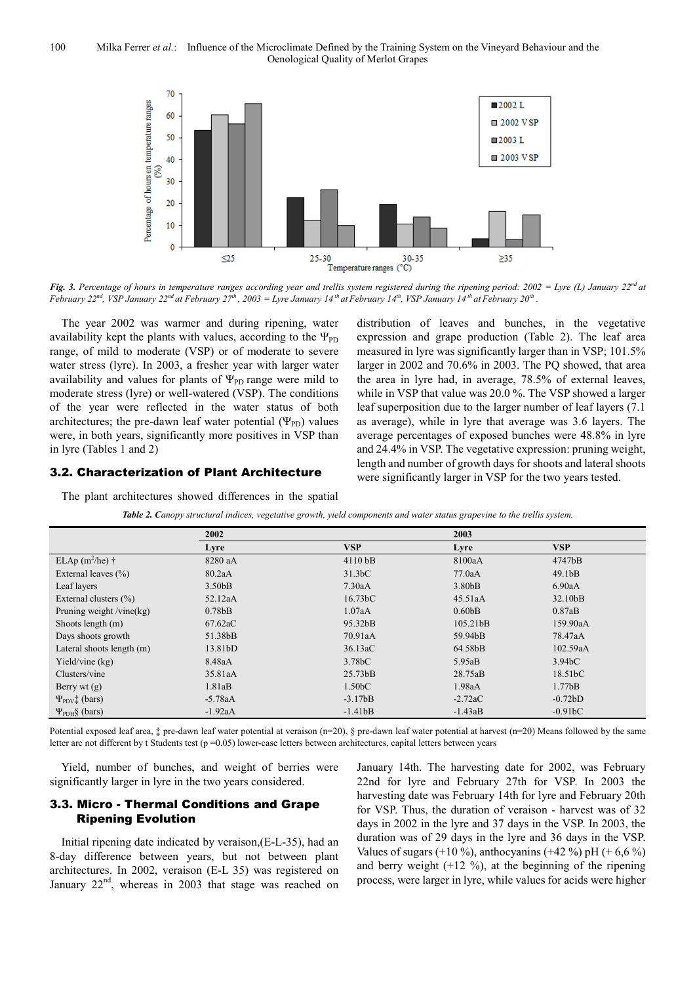

*Fig. 3. Percentage of hours in temperature ranges according year and trellis system registered during the ripening period: 2002 = Lyre (L) January 22nd at* February 22<sup>nd</sup>, VSP January 22<sup>nd</sup> at February 27<sup>th</sup>, 2003 = Lyre January 14<sup>th</sup> at February 14<sup>th</sup>, VSP January 14<sup>th</sup> at February 20<sup>th</sup>.

The year 2002 was warmer and during ripening, water availability kept the plants with values, according to the  $\Psi_{\text{PD}}$ range, of mild to moderate (VSP) or of moderate to severe water stress (lyre). In 2003, a fresher year with larger water availability and values for plants of  $\Psi_{\text{PD}}$  range were mild to moderate stress (lyre) or well-watered (VSP). The conditions of the year were reflected in the water status of both architectures; the pre-dawn leaf water potential  $(\Psi_{PD})$  values were, in both years, significantly more positives in VSP than in lyre (Tables 1 and 2)

## 3.2. Characterization of Plant Architecture

The plant architectures showed differences in the spatial

distribution of leaves and bunches, in the vegetative expression and grape production (Table 2). The leaf area measured in lyre was significantly larger than in VSP; 101.5% larger in 2002 and 70.6% in 2003. The PQ showed, that area the area in lyre had, in average, 78.5% of external leaves, while in VSP that value was 20.0 %. The VSP showed a larger leaf superposition due to the larger number of leaf layers (7.1 as average), while in lyre that average was 3.6 layers. The average percentages of exposed bunches were 48.8% in lyre and 24.4% in VSP. The vegetative expression: pruning weight, length and number of growth days for shoots and lateral shoots were significantly larger in VSP for the two years tested.

|  |  | Table 2. Canopy structural indices, vegetative growth, yield components and water status grapevine to the trellis system. |
|--|--|---------------------------------------------------------------------------------------------------------------------------|
|--|--|---------------------------------------------------------------------------------------------------------------------------|

|                              | 2002                |                      | 2003                  |                      |  |
|------------------------------|---------------------|----------------------|-----------------------|----------------------|--|
|                              | Lyre                | <b>VSP</b>           | Lyre                  | <b>VSP</b>           |  |
| ELAp $(m^2/he)$ †            | 8280 aA             | $4110$ bB            | 8100aA                | 4747bB               |  |
| External leaves $(\% )$      | 80.2aA              | 31.3 <sub>b</sub> C  | 77.0aA                | 49.1 <sub>b</sub> B  |  |
| Leaf layers                  | 3.50 <sub>b</sub> B | 7.30aA               | 3.80 <sub>b</sub> B   | 6.90aA               |  |
| External clusters $(\% )$    | 52.12aA             | 16.73 <sub>b</sub> C | 45.51aA               | 32.10bB              |  |
| Pruning weight /vine(kg)     | 0.78 <sub>bB</sub>  | 1.07aA               | 0.60 <sub>b</sub> B   | 0.87aB               |  |
| Shoots length (m)            | 67.62aC             | 95.32bB              | 105.21 <sub>b</sub> B | 159.90aA             |  |
| Days shoots growth           | 51.38bB             | 70.91aA              | 59.94bB               | 78.47aA              |  |
| Lateral shoots length (m)    | 13.81bD             | 36.13aC              | 64.58bB               | 102.59aA             |  |
| Yield/vine $(kg)$            | 8.48aA              | 3.78 <sub>b</sub> C  | 5.95aB                | 3.94 <sub>b</sub> C  |  |
| Clusters/vine                | 35.81aA             | 25.73 <sub>b</sub> B | 28.75aB               | 18.51 <sub>b</sub> C |  |
| Berry wt $(g)$               | 1.81aB              | 1.50 <sub>b</sub> C  | 1.98aA                | 1.77bB               |  |
| $\Psi_{\text{PDV}}$ ; (bars) | $-5.78aA$           | $-3.17bB$            | $-2.72aC$             | $-0.72bD$            |  |
| $\Psi_{\rm PDH}$ § (bars)    | $-1.92aA$           | $-1.41bB$            | $-1.43aB$             | $-0.91bC$            |  |

Potential exposed leaf area,  $\ddagger$  pre-dawn leaf water potential at veraison (n=20), § pre-dawn leaf water potential at harvest (n=20) Means followed by the same letter are not different by t Students test ( $p = 0.05$ ) lower-case letters between architectures, capital letters between years

Yield, number of bunches, and weight of berries were significantly larger in lyre in the two years considered.

## 3.3. Micro - Thermal Conditions and Grape Ripening Evolution

Initial ripening date indicated by veraison,(E-L-35), had an 8-day difference between years, but not between plant architectures. In 2002, veraison (E-L 35) was registered on January  $22<sup>nd</sup>$ , whereas in 2003 that stage was reached on

January 14th. The harvesting date for 2002, was February 22nd for lyre and February 27th for VSP. In 2003 the harvesting date was February 14th for lyre and February 20th for VSP. Thus, the duration of veraison - harvest was of 32 days in 2002 in the lyre and 37 days in the VSP. In 2003, the duration was of 29 days in the lyre and 36 days in the VSP. Values of sugars (+10 %), anthocyanins (+42 %) pH (+ 6,6 %) and berry weight  $(+12 \%)$ , at the beginning of the ripening process, were larger in lyre, while values for acids were higher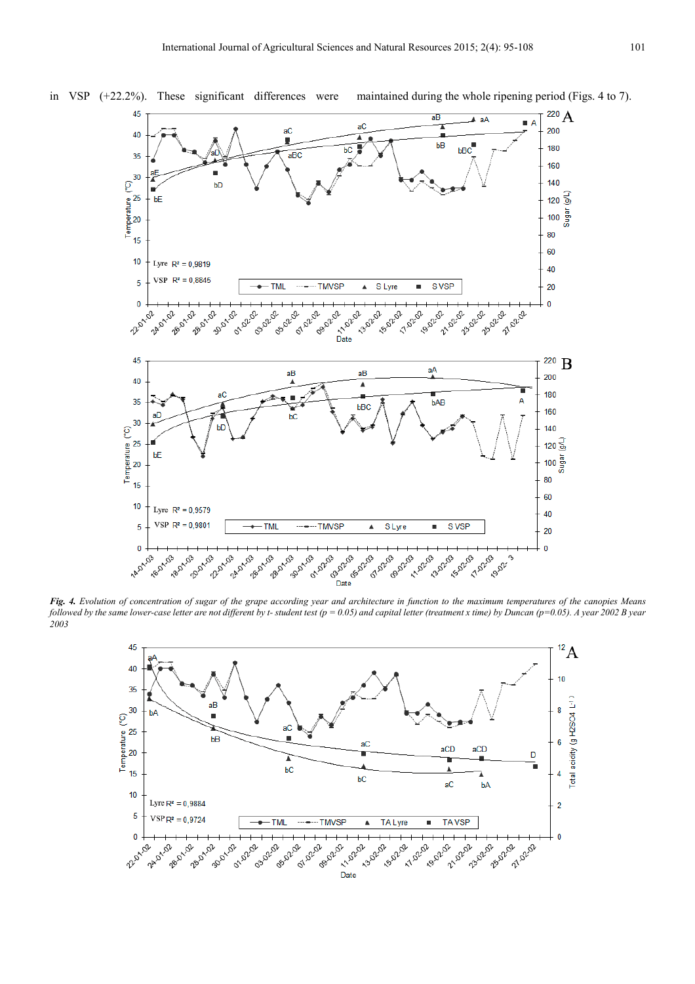

*Fig. 4. Evolution of concentration of sugar of the grape according year and architecture in function to the maximum temperatures of the canopies Means followed by the same lower-case letter are not different by t- student test (p = 0.05) and capital letter (treatment x time) by Duncan (p=0.05). A year 2002 B year 2003* 



in VSP (+22.2%). These significant differences were maintained during the whole ripening period (Figs. 4 to 7).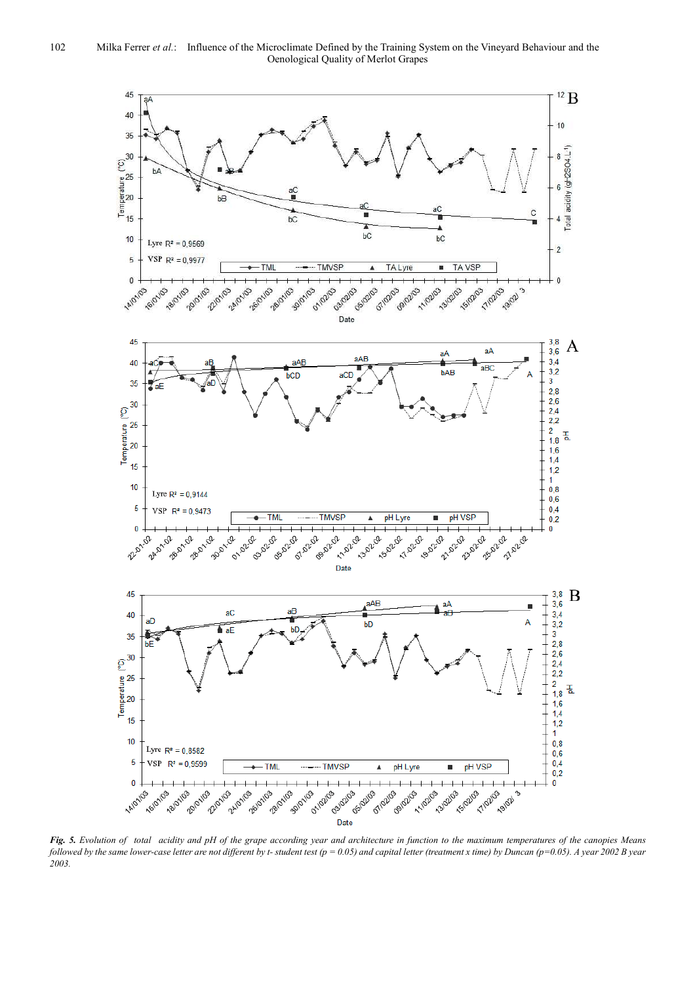

*Fig. 5. Evolution of total acidity and pH of the grape according year and architecture in function to the maximum temperatures of the canopies Means followed by the same lower-case letter are not different by t- student test (p = 0.05) and capital letter (treatment x time) by Duncan (p=0.05). A year 2002 B year 2003.*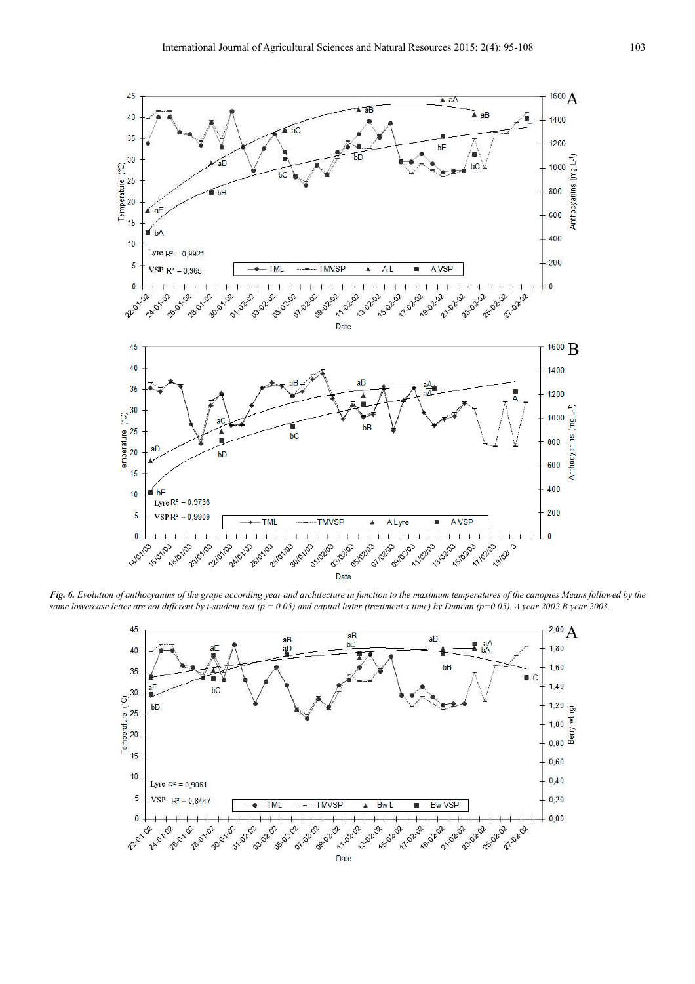

*Fig. 6. Evolution of anthocyanins of the grape according year and architecture in function to the maximum temperatures of the canopies Means followed by the same lowercase letter are not different by t-student test (p = 0.05) and capital letter (treatment x time) by Duncan (p=0.05). A year 2002 B year 2003.* 

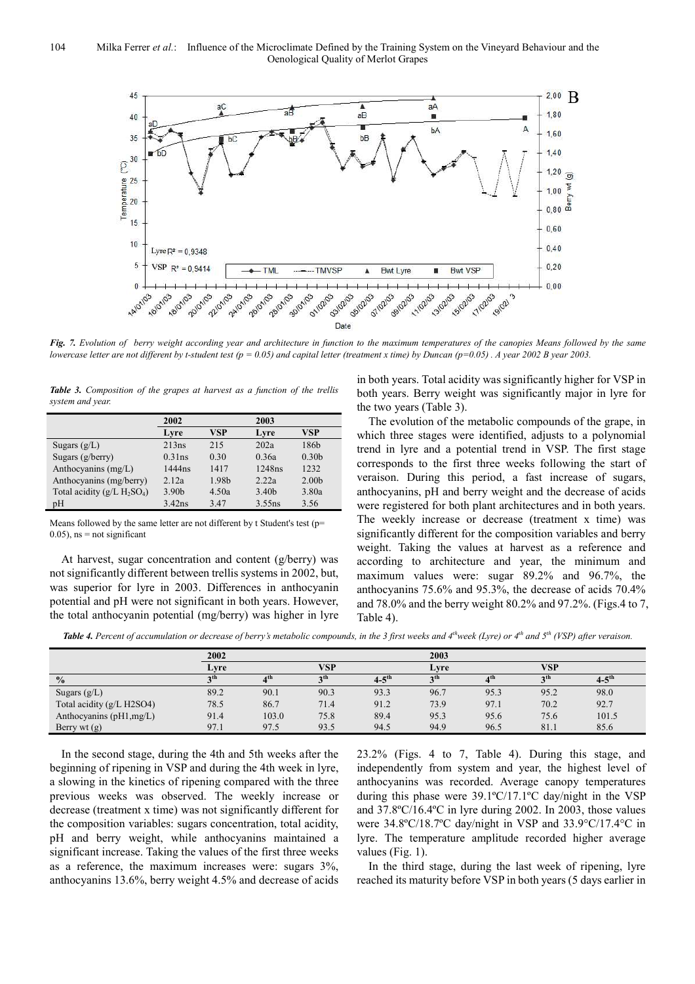

*Fig. 7. Evolution of berry weight according year and architecture in function to the maximum temperatures of the canopies Means followed by the same lowercase letter are not different by t-student test (p = 0.05) and capital letter (treatment x time) by Duncan (p=0.05) . A year 2002 B year 2003.* 

*Table 3. Composition of the grapes at harvest as a function of the trellis system and year.* 

|                               | 2002              |       | 2003               |                   |
|-------------------------------|-------------------|-------|--------------------|-------------------|
|                               | Lyre              | VSP   | Lyre               | VSP               |
| Sugars $(g/L)$                | 213ns             | 215   | 202a               | 186b              |
| Sugars $(g/berry)$            | $0.31$ ns         | 0.30  | 0.36a              | 0.30 <sub>b</sub> |
| Anthocyanins (mg/L)           | 1444ns            | 1417  | 1248ns             | 1232              |
| Anthocyanins (mg/berry)       | 2.12a             | 1.98b | 2.22a              | 2.00 <sub>b</sub> |
| Total acidity $(g/L H_2SO_4)$ | 3.90 <sub>b</sub> | 4.50a | 3.40b              | 3.80a             |
| pH                            | $3.42$ ns         | 3.47  | 3.55 <sub>ns</sub> | 3.56              |

Means followed by the same letter are not different by t Student's test (p=  $0.05$ ), ns = not significant

At harvest, sugar concentration and content (g/berry) was not significantly different between trellis systems in 2002, but, was superior for lyre in 2003. Differences in anthocyanin potential and pH were not significant in both years. However, the total anthocyanin potential (mg/berry) was higher in lyre in both years. Total acidity was significantly higher for VSP in both years. Berry weight was significantly major in lyre for the two years (Table 3).

The evolution of the metabolic compounds of the grape, in which three stages were identified, adjusts to a polynomial trend in lyre and a potential trend in VSP. The first stage corresponds to the first three weeks following the start of veraison. During this period, a fast increase of sugars, anthocyanins, pH and berry weight and the decrease of acids were registered for both plant architectures and in both years. The weekly increase or decrease (treatment x time) was significantly different for the composition variables and berry weight. Taking the values at harvest as a reference and according to architecture and year, the minimum and maximum values were: sugar 89.2% and 96.7%, the anthocyanins 75.6% and 95.3%, the decrease of acids 70.4% and 78.0% and the berry weight 80.2% and 97.2%. (Figs.4 to 7, Table 4).

*Table 4. Percent of accumulation or decrease of berry's metabolic compounds, in the 3 first weeks and 4thweek (Lyre) or 4th and 5th (VSP) after veraison.* 

|                           | 2002            |                 |                 | 2003                  |                 |                 |                 |                   |
|---------------------------|-----------------|-----------------|-----------------|-----------------------|-----------------|-----------------|-----------------|-------------------|
|                           | Lyre            |                 | <b>VSP</b>      |                       | Lvre            |                 | VSP             |                   |
| $\frac{0}{0}$             | 2 <sup>th</sup> | 4 <sup>th</sup> | 2 <sup>th</sup> | $4 - 5$ <sup>th</sup> | 2 <sup>th</sup> | A <sup>th</sup> | 2 <sup>th</sup> | $4-5^{\text{th}}$ |
| Sugars $(g/L)$            | 89.2            | 90.1            | 90.3            | 93.3                  | 96.7            | 95.3            | 95.2            | 98.0              |
| Total acidity (g/L H2SO4) | 78.5            | 86.7            | 71.4            | 91.2                  | 73.9            | 97.1            | 70.2            | 92.7              |
| Anthocyanins (pH1,mg/L)   | 91.4            | 103.0           | 75.8            | 89.4                  | 95.3            | 95.6            | 75.6            | 101.5             |
| Berry wt $(g)$            | 97.1            | 97.5            | 93.5            | 94.5                  | 94.9            | 96.5            | 81.1            | 85.6              |

In the second stage, during the 4th and 5th weeks after the beginning of ripening in VSP and during the 4th week in lyre, a slowing in the kinetics of ripening compared with the three previous weeks was observed. The weekly increase or decrease (treatment x time) was not significantly different for the composition variables: sugars concentration, total acidity, pH and berry weight, while anthocyanins maintained a significant increase. Taking the values of the first three weeks as a reference, the maximum increases were: sugars 3%, anthocyanins 13.6%, berry weight 4.5% and decrease of acids

23.2% (Figs. 4 to 7, Table 4). During this stage, and independently from system and year, the highest level of anthocyanins was recorded. Average canopy temperatures during this phase were 39.1ºC/17.1ºC day/night in the VSP and 37.8ºC/16.4ºC in lyre during 2002. In 2003, those values were 34.8ºC/18.7ºC day/night in VSP and 33.9°C/17.4°C in lyre. The temperature amplitude recorded higher average values (Fig. 1).

In the third stage, during the last week of ripening, lyre reached its maturity before VSP in both years (5 days earlier in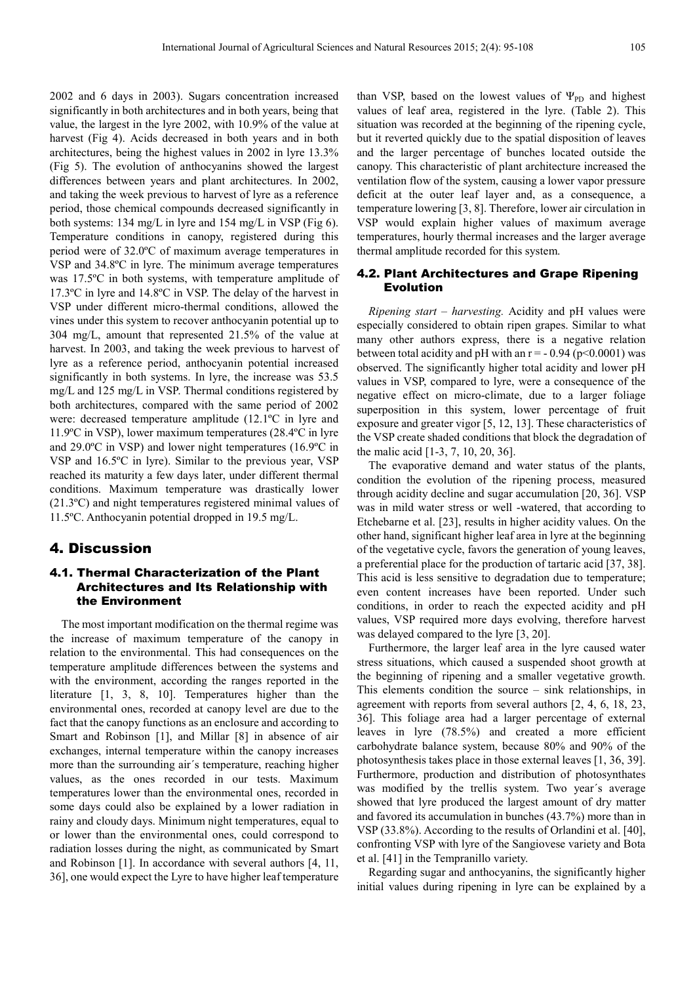2002 and 6 days in 2003). Sugars concentration increased significantly in both architectures and in both years, being that value, the largest in the lyre 2002, with 10.9% of the value at harvest (Fig 4). Acids decreased in both years and in both architectures, being the highest values in 2002 in lyre 13.3% (Fig 5). The evolution of anthocyanins showed the largest differences between years and plant architectures. In 2002, and taking the week previous to harvest of lyre as a reference period, those chemical compounds decreased significantly in both systems: 134 mg/L in lyre and 154 mg/L in VSP (Fig 6). Temperature conditions in canopy, registered during this period were of 32.0ºC of maximum average temperatures in VSP and 34.8ºC in lyre. The minimum average temperatures was 17.5ºC in both systems, with temperature amplitude of 17.3ºC in lyre and 14.8ºC in VSP. The delay of the harvest in VSP under different micro-thermal conditions, allowed the vines under this system to recover anthocyanin potential up to 304 mg/L, amount that represented 21.5% of the value at harvest. In 2003, and taking the week previous to harvest of lyre as a reference period, anthocyanin potential increased significantly in both systems. In lyre, the increase was 53.5 mg/L and 125 mg/L in VSP. Thermal conditions registered by both architectures, compared with the same period of 2002 were: decreased temperature amplitude (12.1ºC in lyre and 11.9ºC in VSP), lower maximum temperatures (28.4ºC in lyre and 29.0ºC in VSP) and lower night temperatures (16.9ºC in VSP and 16.5ºC in lyre). Similar to the previous year, VSP reached its maturity a few days later, under different thermal conditions. Maximum temperature was drastically lower (21.3ºC) and night temperatures registered minimal values of 11.5ºC. Anthocyanin potential dropped in 19.5 mg/L.

## 4. Discussion

## 4.1. Thermal Characterization of the Plant Architectures and Its Relationship with the Environment

The most important modification on the thermal regime was the increase of maximum temperature of the canopy in relation to the environmental. This had consequences on the temperature amplitude differences between the systems and with the environment, according the ranges reported in the literature [1, 3, 8, 10]. Temperatures higher than the environmental ones, recorded at canopy level are due to the fact that the canopy functions as an enclosure and according to Smart and Robinson [1], and Millar [8] in absence of air exchanges, internal temperature within the canopy increases more than the surrounding air´s temperature, reaching higher values, as the ones recorded in our tests. Maximum temperatures lower than the environmental ones, recorded in some days could also be explained by a lower radiation in rainy and cloudy days. Minimum night temperatures, equal to or lower than the environmental ones, could correspond to radiation losses during the night, as communicated by Smart and Robinson [1]. In accordance with several authors [4, 11, 36], one would expect the Lyre to have higher leaf temperature

than VSP, based on the lowest values of  $\Psi_{\text{PD}}$  and highest values of leaf area, registered in the lyre. (Table 2). This situation was recorded at the beginning of the ripening cycle, but it reverted quickly due to the spatial disposition of leaves and the larger percentage of bunches located outside the canopy. This characteristic of plant architecture increased the ventilation flow of the system, causing a lower vapor pressure deficit at the outer leaf layer and, as a consequence, a temperature lowering [3, 8]. Therefore, lower air circulation in VSP would explain higher values of maximum average temperatures, hourly thermal increases and the larger average thermal amplitude recorded for this system.

## 4.2. Plant Architectures and Grape Ripening Evolution

*Ripening start – harvesting.* Acidity and pH values were especially considered to obtain ripen grapes. Similar to what many other authors express, there is a negative relation between total acidity and pH with an  $r = -0.94$  (p<0.0001) was observed. The significantly higher total acidity and lower pH values in VSP, compared to lyre, were a consequence of the negative effect on micro-climate, due to a larger foliage superposition in this system, lower percentage of fruit exposure and greater vigor [5, 12, 13]. These characteristics of the VSP create shaded conditions that block the degradation of the malic acid [1-3, 7, 10, 20, 36].

The evaporative demand and water status of the plants, condition the evolution of the ripening process, measured through acidity decline and sugar accumulation [20, 36]. VSP was in mild water stress or well -watered, that according to Etchebarne et al. [23], results in higher acidity values. On the other hand, significant higher leaf area in lyre at the beginning of the vegetative cycle, favors the generation of young leaves, a preferential place for the production of tartaric acid [37, 38]. This acid is less sensitive to degradation due to temperature; even content increases have been reported. Under such conditions, in order to reach the expected acidity and pH values, VSP required more days evolving, therefore harvest was delayed compared to the lyre [3, 20].

Furthermore, the larger leaf area in the lyre caused water stress situations, which caused a suspended shoot growth at the beginning of ripening and a smaller vegetative growth. This elements condition the source – sink relationships, in agreement with reports from several authors [2, 4, 6, 18, 23, 36]. This foliage area had a larger percentage of external leaves in lyre (78.5%) and created a more efficient carbohydrate balance system, because 80% and 90% of the photosynthesis takes place in those external leaves [1, 36, 39]. Furthermore, production and distribution of photosynthates was modified by the trellis system. Two year´s average showed that lyre produced the largest amount of dry matter and favored its accumulation in bunches (43.7%) more than in VSP (33.8%). According to the results of Orlandini et al. [40], confronting VSP with lyre of the Sangiovese variety and Bota et al. [41] in the Tempranillo variety.

Regarding sugar and anthocyanins, the significantly higher initial values during ripening in lyre can be explained by a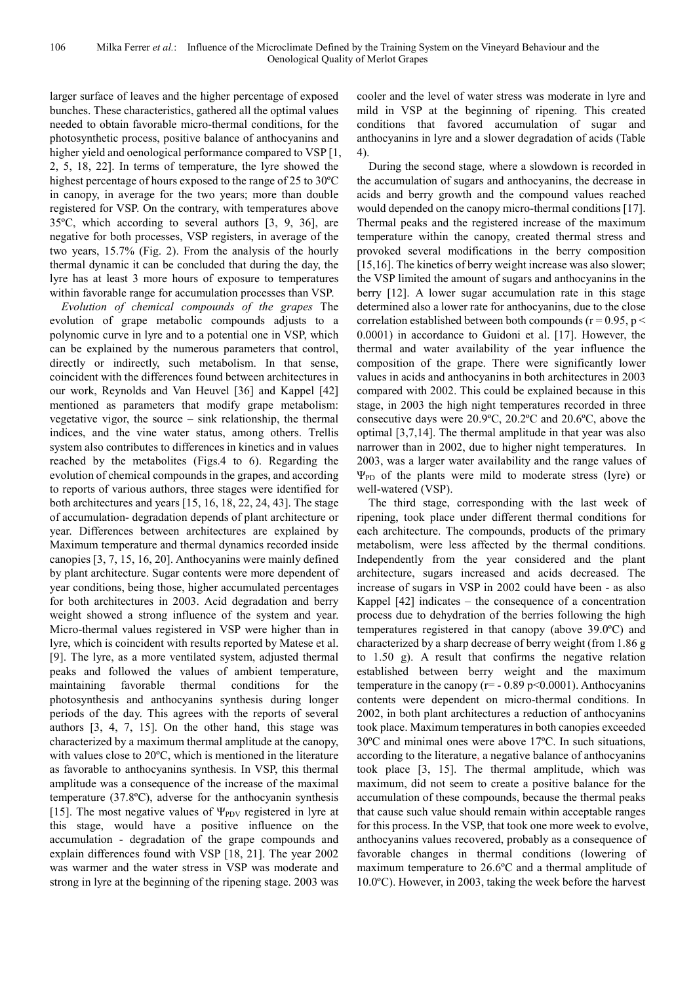larger surface of leaves and the higher percentage of exposed bunches. These characteristics, gathered all the optimal values needed to obtain favorable micro-thermal conditions, for the photosynthetic process, positive balance of anthocyanins and higher yield and oenological performance compared to VSP [1, 2, 5, 18, 22]. In terms of temperature, the lyre showed the highest percentage of hours exposed to the range of 25 to 30ºC in canopy, in average for the two years; more than double registered for VSP. On the contrary, with temperatures above 35ºC, which according to several authors [3, 9, 36], are negative for both processes, VSP registers, in average of the two years, 15.7% (Fig. 2). From the analysis of the hourly thermal dynamic it can be concluded that during the day, the lyre has at least 3 more hours of exposure to temperatures within favorable range for accumulation processes than VSP.

*Evolution of chemical compounds of the grapes* The evolution of grape metabolic compounds adjusts to a polynomic curve in lyre and to a potential one in VSP, which can be explained by the numerous parameters that control, directly or indirectly, such metabolism. In that sense, coincident with the differences found between architectures in our work, Reynolds and Van Heuvel [36] and Kappel [42] mentioned as parameters that modify grape metabolism: vegetative vigor, the source – sink relationship, the thermal indices, and the vine water status, among others. Trellis system also contributes to differences in kinetics and in values reached by the metabolites (Figs.4 to 6). Regarding the evolution of chemical compounds in the grapes, and according to reports of various authors, three stages were identified for both architectures and years [15, 16, 18, 22, 24, 43]. The stage of accumulation- degradation depends of plant architecture or year. Differences between architectures are explained by Maximum temperature and thermal dynamics recorded inside canopies [3, 7, 15, 16, 20]. Anthocyanins were mainly defined by plant architecture. Sugar contents were more dependent of year conditions, being those, higher accumulated percentages for both architectures in 2003. Acid degradation and berry weight showed a strong influence of the system and year. Micro-thermal values registered in VSP were higher than in lyre, which is coincident with results reported by Matese et al. [9]. The lyre, as a more ventilated system, adjusted thermal peaks and followed the values of ambient temperature, maintaining favorable thermal conditions for the photosynthesis and anthocyanins synthesis during longer periods of the day. This agrees with the reports of several authors [3, 4, 7, 15]. On the other hand, this stage was characterized by a maximum thermal amplitude at the canopy, with values close to 20ºC, which is mentioned in the literature as favorable to anthocyanins synthesis. In VSP, this thermal amplitude was a consequence of the increase of the maximal temperature (37.8ºC), adverse for the anthocyanin synthesis [15]. The most negative values of  $\Psi_{\text{PDV}}$  registered in lyre at this stage, would have a positive influence on the accumulation - degradation of the grape compounds and explain differences found with VSP [18, 21]. The year 2002 was warmer and the water stress in VSP was moderate and strong in lyre at the beginning of the ripening stage. 2003 was

cooler and the level of water stress was moderate in lyre and mild in VSP at the beginning of ripening. This created conditions that favored accumulation of sugar and anthocyanins in lyre and a slower degradation of acids (Table 4).

During the second stage*,* where a slowdown is recorded in the accumulation of sugars and anthocyanins, the decrease in acids and berry growth and the compound values reached would depended on the canopy micro-thermal conditions [17]. Thermal peaks and the registered increase of the maximum temperature within the canopy, created thermal stress and provoked several modifications in the berry composition [15,16]. The kinetics of berry weight increase was also slower; the VSP limited the amount of sugars and anthocyanins in the berry [12]. A lower sugar accumulation rate in this stage determined also a lower rate for anthocyanins, due to the close correlation established between both compounds ( $r = 0.95$ ,  $p <$ 0.0001) in accordance to Guidoni et al. [17]. However, the thermal and water availability of the year influence the composition of the grape. There were significantly lower values in acids and anthocyanins in both architectures in 2003 compared with 2002. This could be explained because in this stage, in 2003 the high night temperatures recorded in three consecutive days were 20.9ºC, 20.2ºC and 20.6ºC, above the optimal [3,7,14]. The thermal amplitude in that year was also narrower than in 2002, due to higher night temperatures. In 2003, was a larger water availability and the range values of  $\Psi_{\text{PD}}$  of the plants were mild to moderate stress (lyre) or well-watered (VSP).

The third stage, corresponding with the last week of ripening, took place under different thermal conditions for each architecture. The compounds, products of the primary metabolism, were less affected by the thermal conditions. Independently from the year considered and the plant architecture, sugars increased and acids decreased. The increase of sugars in VSP in 2002 could have been - as also Kappel [42] indicates – the consequence of a concentration process due to dehydration of the berries following the high temperatures registered in that canopy (above 39.0ºC) and characterized by a sharp decrease of berry weight (from 1.86 g to 1.50 g). A result that confirms the negative relation established between berry weight and the maximum temperature in the canopy ( $r = -0.89$  p<0.0001). Anthocyanins contents were dependent on micro-thermal conditions. In 2002, in both plant architectures a reduction of anthocyanins took place. Maximum temperatures in both canopies exceeded 30ºC and minimal ones were above 17ºC. In such situations, according to the literature, a negative balance of anthocyanins took place [3, 15]. The thermal amplitude, which was maximum, did not seem to create a positive balance for the accumulation of these compounds, because the thermal peaks that cause such value should remain within acceptable ranges for this process. In the VSP, that took one more week to evolve, anthocyanins values recovered, probably as a consequence of favorable changes in thermal conditions (lowering of maximum temperature to 26.6ºC and a thermal amplitude of 10.0ºC). However, in 2003, taking the week before the harvest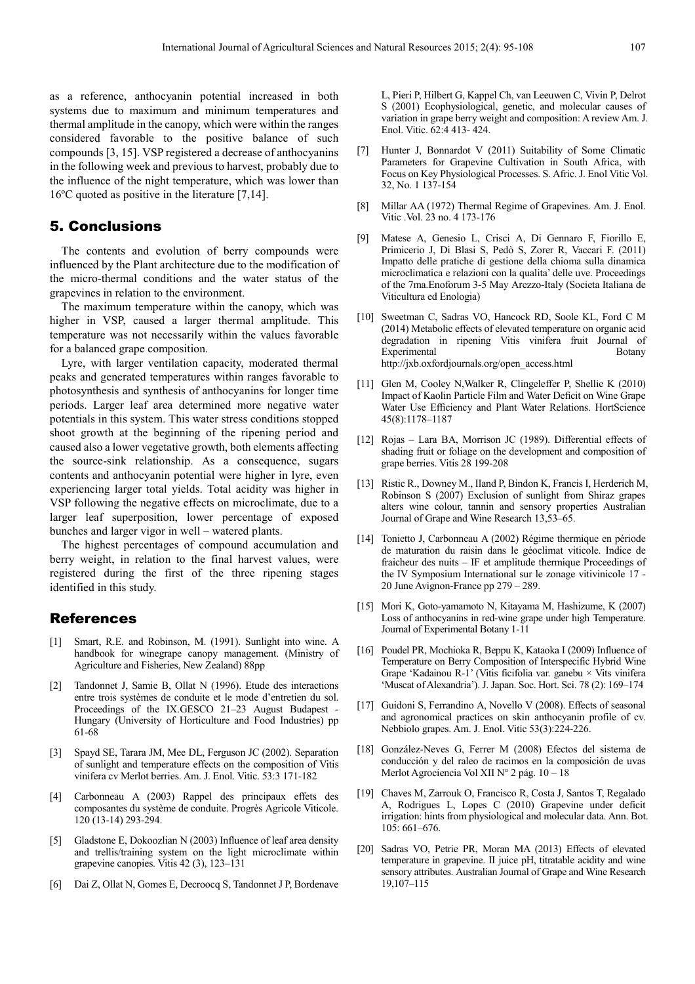as a reference, anthocyanin potential increased in both systems due to maximum and minimum temperatures and thermal amplitude in the canopy, which were within the ranges considered favorable to the positive balance of such compounds [3, 15]. VSP registered a decrease of anthocyanins in the following week and previous to harvest, probably due to the influence of the night temperature, which was lower than 16ºC quoted as positive in the literature [7,14].

## 5. Conclusions

The contents and evolution of berry compounds were influenced by the Plant architecture due to the modification of the micro-thermal conditions and the water status of the grapevines in relation to the environment.

The maximum temperature within the canopy, which was higher in VSP, caused a larger thermal amplitude. This temperature was not necessarily within the values favorable for a balanced grape composition.

Lyre, with larger ventilation capacity, moderated thermal peaks and generated temperatures within ranges favorable to photosynthesis and synthesis of anthocyanins for longer time periods. Larger leaf area determined more negative water potentials in this system. This water stress conditions stopped shoot growth at the beginning of the ripening period and caused also a lower vegetative growth, both elements affecting the source-sink relationship. As a consequence, sugars contents and anthocyanin potential were higher in lyre, even experiencing larger total yields. Total acidity was higher in VSP following the negative effects on microclimate, due to a larger leaf superposition, lower percentage of exposed bunches and larger vigor in well – watered plants.

The highest percentages of compound accumulation and berry weight, in relation to the final harvest values, were registered during the first of the three ripening stages identified in this study.

## References

- [1] Smart, R.E. and Robinson, M. (1991). Sunlight into wine. A handbook for winegrape canopy management. (Ministry of Agriculture and Fisheries, New Zealand) 88pp
- [2] Tandonnet J, Samie B, Ollat N (1996). Etude des interactions entre trois systèmes de conduite et le mode d'entretien du sol. Proceedings of the IX.GESCO 21–23 August Budapest - Hungary (University of Horticulture and Food Industries) pp 61-68
- [3] Spayd SE, Tarara JM, Mee DL, Ferguson JC (2002). Separation of sunlight and temperature effects on the composition of Vitis vinifera cv Merlot berries. Am. J. Enol. Vitic. 53:3 171-182
- [4] Carbonneau A (2003) Rappel des principaux effets des composantes du système de conduite. Progrès Agricole Viticole. 120 (13-14) 293-294.
- [5] Gladstone E, Dokoozlian N (2003) Influence of leaf area density and trellis/training system on the light microclimate within grapevine canopies. Vitis 42 (3), 123–131
- [6] Dai Z, Ollat N, Gomes E, Decroocq S, Tandonnet J P, Bordenave

L, Pieri P, Hilbert G, Kappel Ch, van Leeuwen C, Vivin P, Delrot S (2001) Ecophysiological, genetic, and molecular causes of variation in grape berry weight and composition: A review Am. J. Enol. Vitic. 62:4 413- 424.

- [7] Hunter J, Bonnardot V (2011) Suitability of Some Climatic Parameters for Grapevine Cultivation in South Africa, with Focus on Key Physiological Processes. S. Afric. J. Enol Vitic Vol. 32, No. 1 137-154
- [8] Millar AA (1972) Thermal Regime of Grapevines. Am. J. Enol. Vitic .Vol. 23 no. 4 173-176
- [9] Matese A, Genesio L, Crisci A, Di Gennaro F, Fiorillo E, Primicerio J, Di Blasi S, Pedò S, Zorer R, Vaccari F. (2011) Impatto delle pratiche di gestione della chioma sulla dinamica microclimatica e relazioni con la qualita' delle uve. Proceedings of the 7ma.Enoforum 3-5 May Arezzo-Italy (Societa Italiana de Viticultura ed Enologia)
- [10] Sweetman C, Sadras VO, Hancock RD, Soole KL, Ford C M (2014) Metabolic effects of elevated temperature on organic acid degradation in ripening Vitis vinifera fruit Journal of Experimental Botany http://jxb.oxfordjournals.org/open\_access.html
- [11] Glen M, Cooley N,Walker R, Clingeleffer P, Shellie K (2010) Impact of Kaolin Particle Film and Water Deficit on Wine Grape Water Use Efficiency and Plant Water Relations. HortScience 45(8):1178–1187
- [12] Rojas Lara BA, Morrison JC (1989). Differential effects of shading fruit or foliage on the development and composition of grape berries. Vitis 28 199-208
- [13] Ristic R., Downey M., Iland P, Bindon K, Francis I, Herderich M, Robinson S (2007) Exclusion of sunlight from Shiraz grapes alters wine colour, tannin and sensory properties Australian Journal of Grape and Wine Research 13,53–65.
- [14] Tonietto J, Carbonneau A (2002) Régime thermique en période de maturation du raisin dans le géoclimat viticole. Indice de fraicheur des nuits – IF et amplitude thermique Proceedings of the IV Symposium International sur le zonage vitivinicole 17 - 20 June Avignon-France pp 279 – 289.
- [15] Mori K, Goto-yamamoto N, Kitayama M, Hashizume, K (2007) Loss of anthocyanins in red-wine grape under high Temperature. Journal of Experimental Botany 1-11
- [16] Poudel PR, Mochioka R, Beppu K, Kataoka I (2009) Influence of Temperature on Berry Composition of Interspecific Hybrid Wine Grape 'Kadainou R-1' (Vitis ficifolia var. ganebu × Vits vinifera 'Muscat of Alexandria'). J. Japan. Soc. Hort. Sci. 78 (2): 169–174
- [17] Guidoni S, Ferrandino A, Novello V (2008). Effects of seasonal and agronomical practices on skin anthocyanin profile of cv. Nebbiolo grapes. Am. J. Enol. Vitic 53(3):224-226.
- [18] González-Neves G, Ferrer M (2008) Efectos del sistema de conducción y del raleo de racimos en la composición de uvas Merlot Agrociencia Vol XII N° 2 pág. 10 – 18
- [19] Chaves M, Zarrouk O, Francisco R, Costa J, Santos T, Regalado A, Rodrigues L, Lopes C (2010) Grapevine under deficit irrigation: hints from physiological and molecular data. Ann. Bot. 105: 661–676.
- [20] Sadras VO, Petrie PR, Moran MA (2013) Effects of elevated temperature in grapevine. II juice pH, titratable acidity and wine sensory attributes. Australian Journal of Grape and Wine Research 19,107–115